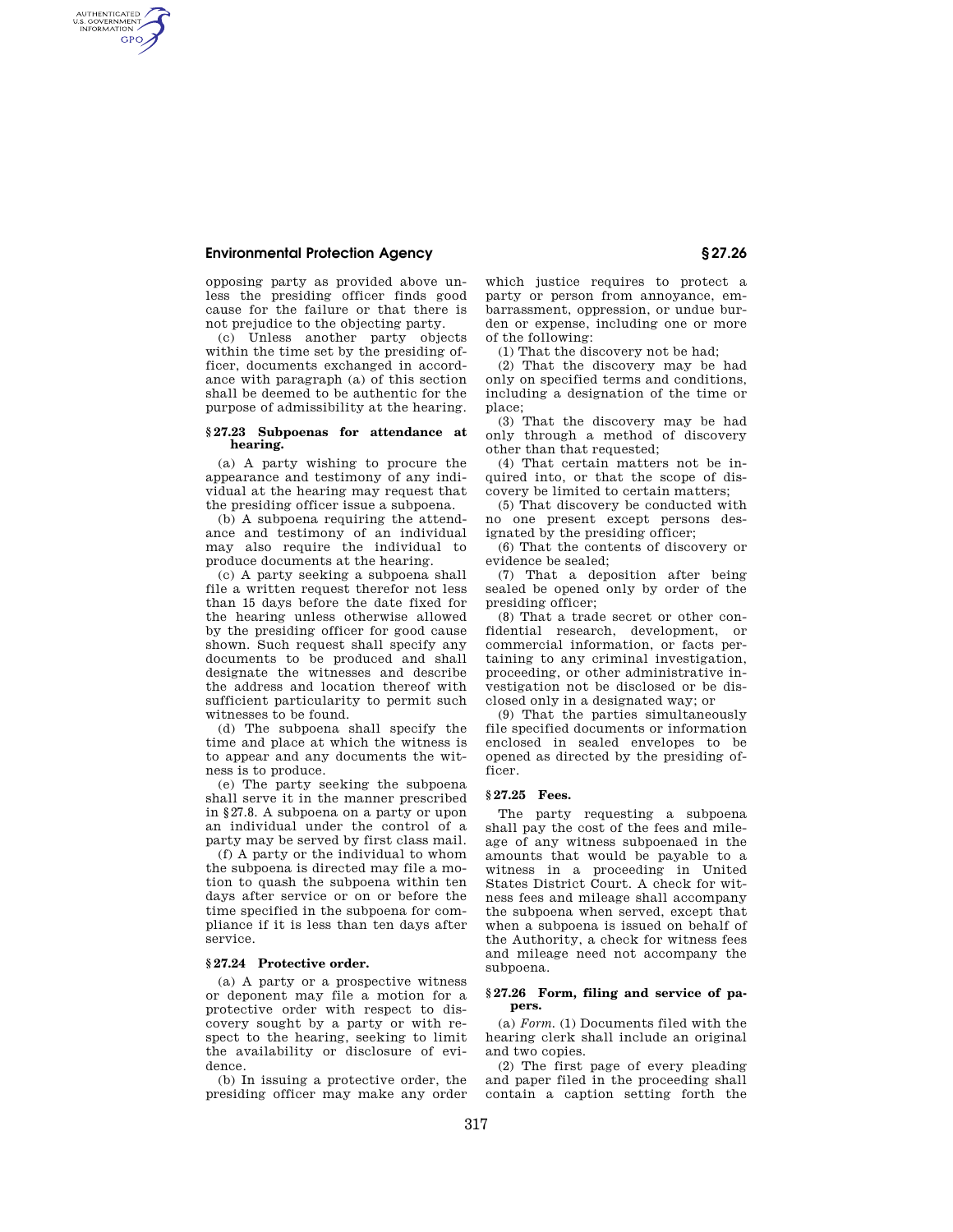### **Environmental Protection Agency § 27.26**

AUTHENTICATED<br>U.S. GOVERNMENT<br>INFORMATION **GPO** 

> opposing party as provided above unless the presiding officer finds good cause for the failure or that there is not prejudice to the objecting party.

> (c) Unless another party objects within the time set by the presiding officer, documents exchanged in accordance with paragraph (a) of this section shall be deemed to be authentic for the purpose of admissibility at the hearing.

#### **§ 27.23 Subpoenas for attendance at hearing.**

(a) A party wishing to procure the appearance and testimony of any individual at the hearing may request that the presiding officer issue a subpoena.

(b) A subpoena requiring the attendance and testimony of an individual may also require the individual to produce documents at the hearing.

(c) A party seeking a subpoena shall file a written request therefor not less than 15 days before the date fixed for the hearing unless otherwise allowed by the presiding officer for good cause shown. Such request shall specify any documents to be produced and shall designate the witnesses and describe the address and location thereof with sufficient particularity to permit such witnesses to be found.

(d) The subpoena shall specify the time and place at which the witness is to appear and any documents the witness is to produce.

(e) The party seeking the subpoena shall serve it in the manner prescribed in §27.8. A subpoena on a party or upon an individual under the control of a party may be served by first class mail.

(f) A party or the individual to whom the subpoena is directed may file a motion to quash the subpoena within ten days after service or on or before the time specified in the subpoena for compliance if it is less than ten days after service.

#### **§ 27.24 Protective order.**

(a) A party or a prospective witness or deponent may file a motion for a protective order with respect to discovery sought by a party or with respect to the hearing, seeking to limit the availability or disclosure of evidence.

(b) In issuing a protective order, the presiding officer may make any order which justice requires to protect a party or person from annoyance, embarrassment, oppression, or undue burden or expense, including one or more of the following:

(1) That the discovery not be had;

(2) That the discovery may be had only on specified terms and conditions, including a designation of the time or place;

(3) That the discovery may be had only through a method of discovery other than that requested;

(4) That certain matters not be inquired into, or that the scope of discovery be limited to certain matters;

(5) That discovery be conducted with no one present except persons designated by the presiding officer;

(6) That the contents of discovery or evidence be sealed;

(7) That a deposition after being sealed be opened only by order of the presiding officer;

(8) That a trade secret or other confidential research, development, or commercial information, or facts pertaining to any criminal investigation, proceeding, or other administrative investigation not be disclosed or be disclosed only in a designated way; or

(9) That the parties simultaneously file specified documents or information enclosed in sealed envelopes to be opened as directed by the presiding officer.

# **§ 27.25 Fees.**

The party requesting a subpoena shall pay the cost of the fees and mileage of any witness subpoenaed in the amounts that would be payable to a witness in a proceeding in United States District Court. A check for witness fees and mileage shall accompany the subpoena when served, except that when a subpoena is issued on behalf of the Authority, a check for witness fees and mileage need not accompany the subpoena.

### **§ 27.26 Form, filing and service of papers.**

(a) *Form.* (1) Documents filed with the hearing clerk shall include an original and two copies.

(2) The first page of every pleading and paper filed in the proceeding shall contain a caption setting forth the